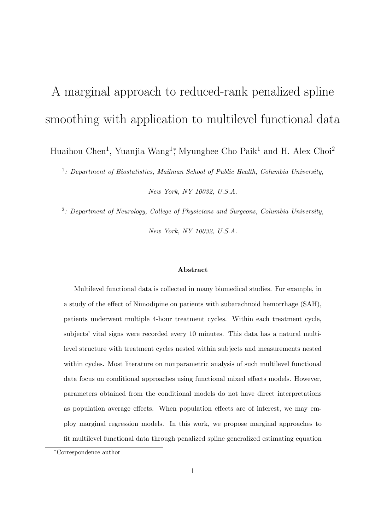# A marginal approach to reduced-rank penalized spline smoothing with application to multilevel functional data

Huaihou Chen<sup>1</sup>, Yuanjia Wang<sup>1</sup><sup>\*</sup>, Myunghee Cho Paik<sup>1</sup> and H. Alex Choi<sup>2</sup>

1 *: Department of Biostatistics, Mailman School of Public Health, Columbia University,*

*New York, NY 10032, U.S.A.*

2 *: Department of Neurology, College of Physicians and Surgeons, Columbia University,*

*New York, NY 10032, U.S.A.*

#### **Abstract**

Multilevel functional data is collected in many biomedical studies. For example, in a study of the effect of Nimodipine on patients with subarachnoid hemorrhage (SAH), patients underwent multiple 4-hour treatment cycles. Within each treatment cycle, subjects' vital signs were recorded every 10 minutes. This data has a natural multilevel structure with treatment cycles nested within subjects and measurements nested within cycles. Most literature on nonparametric analysis of such multilevel functional data focus on conditional approaches using functional mixed effects models. However, parameters obtained from the conditional models do not have direct interpretations as population average effects. When population effects are of interest, we may employ marginal regression models. In this work, we propose marginal approaches to fit multilevel functional data through penalized spline generalized estimating equation

*<sup>∗</sup>*Correspondence author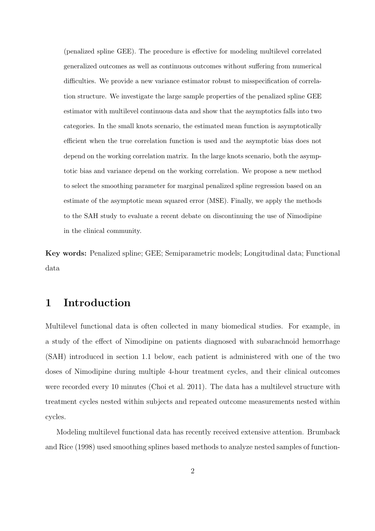(penalized spline GEE). The procedure is effective for modeling multilevel correlated generalized outcomes as well as continuous outcomes without suffering from numerical difficulties. We provide a new variance estimator robust to misspecification of correlation structure. We investigate the large sample properties of the penalized spline GEE estimator with multilevel continuous data and show that the asymptotics falls into two categories. In the small knots scenario, the estimated mean function is asymptotically efficient when the true correlation function is used and the asymptotic bias does not depend on the working correlation matrix. In the large knots scenario, both the asymptotic bias and variance depend on the working correlation. We propose a new method to select the smoothing parameter for marginal penalized spline regression based on an estimate of the asymptotic mean squared error (MSE). Finally, we apply the methods to the SAH study to evaluate a recent debate on discontinuing the use of Nimodipine in the clinical community.

**Key words:** Penalized spline; GEE; Semiparametric models; Longitudinal data; Functional data

## **1 Introduction**

Multilevel functional data is often collected in many biomedical studies. For example, in a study of the effect of Nimodipine on patients diagnosed with subarachnoid hemorrhage (SAH) introduced in section 1.1 below, each patient is administered with one of the two doses of Nimodipine during multiple 4-hour treatment cycles, and their clinical outcomes were recorded every 10 minutes (Choi et al. 2011). The data has a multilevel structure with treatment cycles nested within subjects and repeated outcome measurements nested within cycles.

Modeling multilevel functional data has recently received extensive attention. Brumback and Rice (1998) used smoothing splines based methods to analyze nested samples of function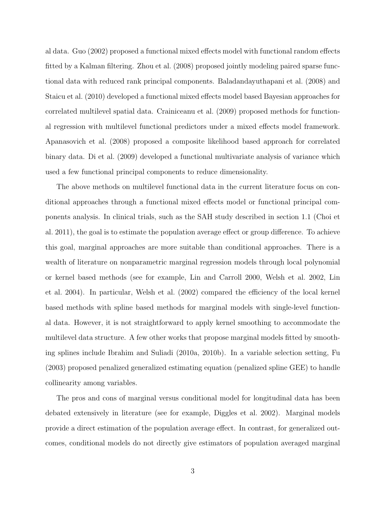al data. Guo (2002) proposed a functional mixed effects model with functional random effects fitted by a Kalman filtering. Zhou et al. (2008) proposed jointly modeling paired sparse functional data with reduced rank principal components. Baladandayuthapani et al. (2008) and Staicu et al. (2010) developed a functional mixed effects model based Bayesian approaches for correlated multilevel spatial data. Crainiceanu et al. (2009) proposed methods for functional regression with multilevel functional predictors under a mixed effects model framework. Apanasovich et al. (2008) proposed a composite likelihood based approach for correlated binary data. Di et al. (2009) developed a functional multivariate analysis of variance which used a few functional principal components to reduce dimensionality.

The above methods on multilevel functional data in the current literature focus on conditional approaches through a functional mixed effects model or functional principal components analysis. In clinical trials, such as the SAH study described in section 1.1 (Choi et al. 2011), the goal is to estimate the population average effect or group difference. To achieve this goal, marginal approaches are more suitable than conditional approaches. There is a wealth of literature on nonparametric marginal regression models through local polynomial or kernel based methods (see for example, Lin and Carroll 2000, Welsh et al. 2002, Lin et al. 2004). In particular, Welsh et al. (2002) compared the efficiency of the local kernel based methods with spline based methods for marginal models with single-level functional data. However, it is not straightforward to apply kernel smoothing to accommodate the multilevel data structure. A few other works that propose marginal models fitted by smoothing splines include Ibrahim and Suliadi (2010a, 2010b). In a variable selection setting, Fu (2003) proposed penalized generalized estimating equation (penalized spline GEE) to handle collinearity among variables.

The pros and cons of marginal versus conditional model for longitudinal data has been debated extensively in literature (see for example, Diggles et al. 2002). Marginal models provide a direct estimation of the population average effect. In contrast, for generalized outcomes, conditional models do not directly give estimators of population averaged marginal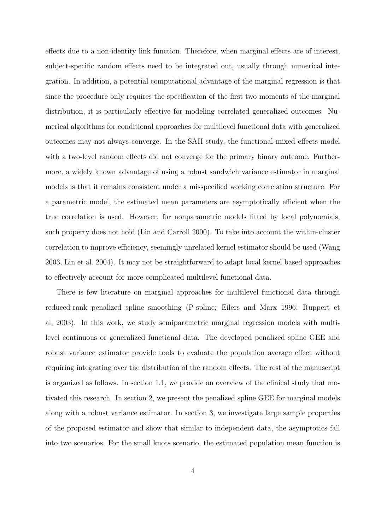effects due to a non-identity link function. Therefore, when marginal effects are of interest, subject-specific random effects need to be integrated out, usually through numerical integration. In addition, a potential computational advantage of the marginal regression is that since the procedure only requires the specification of the first two moments of the marginal distribution, it is particularly effective for modeling correlated generalized outcomes. Numerical algorithms for conditional approaches for multilevel functional data with generalized outcomes may not always converge. In the SAH study, the functional mixed effects model with a two-level random effects did not converge for the primary binary outcome. Furthermore, a widely known advantage of using a robust sandwich variance estimator in marginal models is that it remains consistent under a misspecified working correlation structure. For a parametric model, the estimated mean parameters are asymptotically efficient when the true correlation is used. However, for nonparametric models fitted by local polynomials, such property does not hold (Lin and Carroll 2000). To take into account the within-cluster correlation to improve efficiency, seemingly unrelated kernel estimator should be used (Wang 2003, Lin et al. 2004). It may not be straightforward to adapt local kernel based approaches to effectively account for more complicated multilevel functional data.

There is few literature on marginal approaches for multilevel functional data through reduced-rank penalized spline smoothing (P-spline; Eilers and Marx 1996; Ruppert et al. 2003). In this work, we study semiparametric marginal regression models with multilevel continuous or generalized functional data. The developed penalized spline GEE and robust variance estimator provide tools to evaluate the population average effect without requiring integrating over the distribution of the random effects. The rest of the manuscript is organized as follows. In section 1.1, we provide an overview of the clinical study that motivated this research. In section 2, we present the penalized spline GEE for marginal models along with a robust variance estimator. In section 3, we investigate large sample properties of the proposed estimator and show that similar to independent data, the asymptotics fall into two scenarios. For the small knots scenario, the estimated population mean function is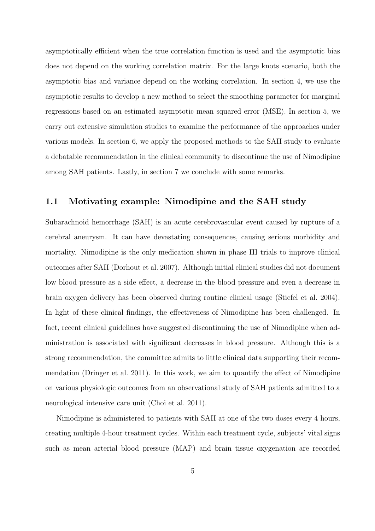asymptotically efficient when the true correlation function is used and the asymptotic bias does not depend on the working correlation matrix. For the large knots scenario, both the asymptotic bias and variance depend on the working correlation. In section 4, we use the asymptotic results to develop a new method to select the smoothing parameter for marginal regressions based on an estimated asymptotic mean squared error (MSE). In section 5, we carry out extensive simulation studies to examine the performance of the approaches under various models. In section 6, we apply the proposed methods to the SAH study to evaluate a debatable recommendation in the clinical community to discontinue the use of Nimodipine among SAH patients. Lastly, in section 7 we conclude with some remarks.

#### **1.1 Motivating example: Nimodipine and the SAH study**

Subarachnoid hemorrhage (SAH) is an acute cerebrovascular event caused by rupture of a cerebral aneurysm. It can have devastating consequences, causing serious morbidity and mortality. Nimodipine is the only medication shown in phase III trials to improve clinical outcomes after SAH (Dorhout et al. 2007). Although initial clinical studies did not document low blood pressure as a side effect, a decrease in the blood pressure and even a decrease in brain oxygen delivery has been observed during routine clinical usage (Stiefel et al. 2004). In light of these clinical findings, the effectiveness of Nimodipine has been challenged. In fact, recent clinical guidelines have suggested discontinuing the use of Nimodipine when administration is associated with significant decreases in blood pressure. Although this is a strong recommendation, the committee admits to little clinical data supporting their recommendation (Dringer et al. 2011). In this work, we aim to quantify the effect of Nimodipine on various physiologic outcomes from an observational study of SAH patients admitted to a neurological intensive care unit (Choi et al. 2011).

Nimodipine is administered to patients with SAH at one of the two doses every 4 hours, creating multiple 4-hour treatment cycles. Within each treatment cycle, subjects' vital signs such as mean arterial blood pressure (MAP) and brain tissue oxygenation are recorded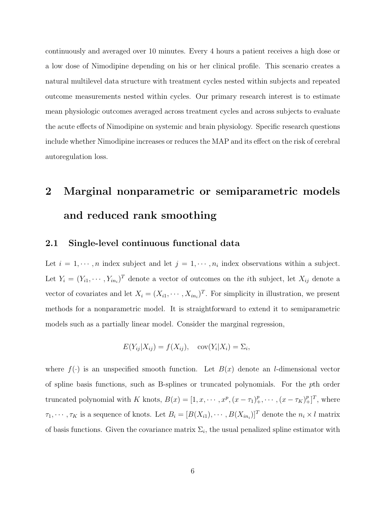continuously and averaged over 10 minutes. Every 4 hours a patient receives a high dose or a low dose of Nimodipine depending on his or her clinical profile. This scenario creates a natural multilevel data structure with treatment cycles nested within subjects and repeated outcome measurements nested within cycles. Our primary research interest is to estimate mean physiologic outcomes averaged across treatment cycles and across subjects to evaluate the acute effects of Nimodipine on systemic and brain physiology. Specific research questions include whether Nimodipine increases or reduces the MAP and its effect on the risk of cerebral autoregulation loss.

## **2 Marginal nonparametric or semiparametric models and reduced rank smoothing**

#### **2.1 Single-level continuous functional data**

Let  $i = 1, \dots, n$  index subject and let  $j = 1, \dots, n_i$  index observations within a subject. Let  $Y_i = (Y_{i1}, \dots, Y_{in_i})^T$  denote a vector of outcomes on the *i*th subject, let  $X_{ij}$  denote a vector of covariates and let  $X_i = (X_{i1}, \dots, X_{in_i})^T$ . For simplicity in illustration, we present methods for a nonparametric model. It is straightforward to extend it to semiparametric models such as a partially linear model. Consider the marginal regression,

$$
E(Y_{ij}|X_{ij}) = f(X_{ij}), \quad \text{cov}(Y_i|X_i) = \Sigma_i,
$$

where  $f(\cdot)$  is an unspecified smooth function. Let  $B(x)$  denote an *l*-dimensional vector of spline basis functions, such as B-splines or truncated polynomials. For the *p*th order truncated polynomial with K knots,  $B(x) = [1, x, \dots, x^p, (x - \tau_1)^p_+, \dots, (x - \tau_K)^p_+]^T$ , where  $\tau_1, \dots, \tau_K$  is a sequence of knots. Let  $B_i = [B(X_{i1}), \dots, B(X_{in_i})]^T$  denote the  $n_i \times l$  matrix of basis functions. Given the covariance matrix  $\Sigma_i$ , the usual penalized spline estimator with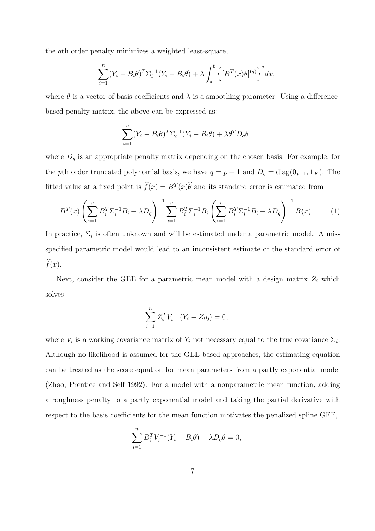the *q*th order penalty minimizes a weighted least-square,

$$
\sum_{i=1}^{n} (Y_i - B_i \theta)^T \Sigma_i^{-1} (Y_i - B_i \theta) + \lambda \int_a^b \left\{ [B^T(x)\theta]^{(q)} \right\}^2 dx,
$$

where  $\theta$  is a vector of basis coefficients and  $\lambda$  is a smoothing parameter. Using a differencebased penalty matrix, the above can be expressed as:

$$
\sum_{i=1}^{n} (Y_i - B_i \theta)^T \Sigma_i^{-1} (Y_i - B_i \theta) + \lambda \theta^T D_q \theta,
$$

where  $D_q$  is an appropriate penalty matrix depending on the chosen basis. For example, for the *p*th order truncated polynomial basis, we have  $q = p + 1$  and  $D_q = \text{diag}(\mathbf{0}_{p+1}, \mathbf{1}_K)$ . The fitted value at a fixed point is  $\hat{f}(x) = B^T(x)\hat{\theta}$  and its standard error is estimated from

$$
B^{T}(x) \left( \sum_{i=1}^{n} B_{i}^{T} \Sigma_{i}^{-1} B_{i} + \lambda D_{q} \right)^{-1} \sum_{i=1}^{n} B_{i}^{T} \Sigma_{i}^{-1} B_{i} \left( \sum_{i=1}^{n} B_{i}^{T} \Sigma_{i}^{-1} B_{i} + \lambda D_{q} \right)^{-1} B(x).
$$
 (1)

In practice,  $\Sigma_i$  is often unknown and will be estimated under a parametric model. A misspecified parametric model would lead to an inconsistent estimate of the standard error of  $\widehat{f}(x)$ .

Next, consider the GEE for a parametric mean model with a design matrix  $Z_i$  which solves

$$
\sum_{i=1}^{n} Z_i^T V_i^{-1} (Y_i - Z_i \eta) = 0,
$$

where  $V_i$  is a working covariance matrix of  $Y_i$  not necessary equal to the true covariance  $\Sigma_i$ . Although no likelihood is assumed for the GEE-based approaches, the estimating equation can be treated as the score equation for mean parameters from a partly exponential model (Zhao, Prentice and Self 1992). For a model with a nonparametric mean function, adding a roughness penalty to a partly exponential model and taking the partial derivative with respect to the basis coefficients for the mean function motivates the penalized spline GEE,

$$
\sum_{i=1}^{n} B_{i}^{T} V_{i}^{-1} (Y_{i} - B_{i} \theta) - \lambda D_{q} \theta = 0,
$$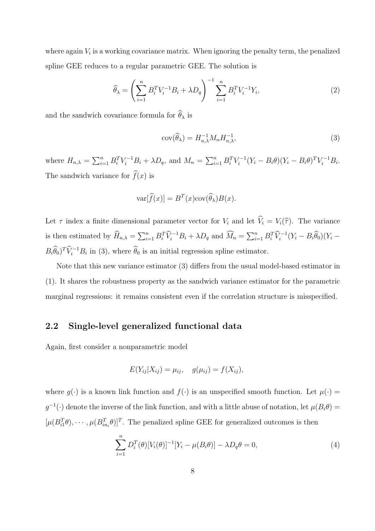where again  $V_i$  is a working covariance matrix. When ignoring the penalty term, the penalized spline GEE reduces to a regular parametric GEE. The solution is

$$
\widehat{\theta}_{\lambda} = \left(\sum_{i=1}^{n} B_i^T V_i^{-1} B_i + \lambda D_q\right)^{-1} \sum_{i=1}^{n} B_i^T V_i^{-1} Y_i, \tag{2}
$$

and the sandwich covariance formula for  $\widehat{\theta}_{\lambda}$  is

$$
cov(\widehat{\theta}_{\lambda}) = H_{n,\lambda}^{-1} M_n H_{n,\lambda}^{-1},
$$
\n(3)

where  $H_{n,\lambda} = \sum_{i=1}^{n} B_i^T V_i^{-1} B_i + \lambda D_q$ , and  $M_n = \sum_{i=1}^{n} B_i^T V_i^{-1} (Y_i - B_i \theta) (Y_i - B_i \theta)^T V_i^{-1} B_i$ . The sandwich variance for  $\widehat{f}(x)$  is

$$
\text{var}[\widehat{f}(x)] = B^T(x)\text{cov}(\widehat{\theta}_{\lambda})B(x).
$$

Let  $\tau$  index a finite dimensional parameter vector for  $V_i$  and let  $\hat{V}_i = V_i(\hat{\tau})$ . The variance is then estimated by  $\widehat{H}_{n,\lambda} = \sum_{i=1}^n B_i^T \widehat{V}_i^{-1} B_i + \lambda D_q$  and  $\widehat{M}_n = \sum_{i=1}^n B_i^T \widehat{V}_i^{-1} (Y_i - B_i \widehat{\theta}_0) (Y_i - B_i \widehat{\theta}_0)$  $B_i \widehat{\theta}_0$ <sup>T</sup> $\widehat{V}_i^{-1} B_i$  in (3), where  $\widehat{\theta}_0$  is an initial regression spline estimator.

Note that this new variance estimator (3) differs from the usual model-based estimator in (1). It shares the robustness property as the sandwich variance estimator for the parametric marginal regressions: it remains consistent even if the correlation structure is misspecified.

#### **2.2 Single-level generalized functional data**

Again, first consider a nonparametric model

$$
E(Y_{ij}|X_{ij}) = \mu_{ij}, \quad g(\mu_{ij}) = f(X_{ij}),
$$

where  $g(\cdot)$  is a known link function and  $f(\cdot)$  is an unspecified smooth function. Let  $\mu(\cdot)$  $g^{-1}(\cdot)$  denote the inverse of the link function, and with a little abuse of notation, let  $\mu(B_i \theta) =$  $[\mu(B_{i1}^T\theta), \cdots, \mu(B_{in_i}^T\theta)]^T$ . The penalized spline GEE for generalized outcomes is then

$$
\sum_{i=1}^{n} D_i^T(\theta) [V_i(\theta)]^{-1} [Y_i - \mu(B_i \theta)] - \lambda D_q \theta = 0,
$$
\n(4)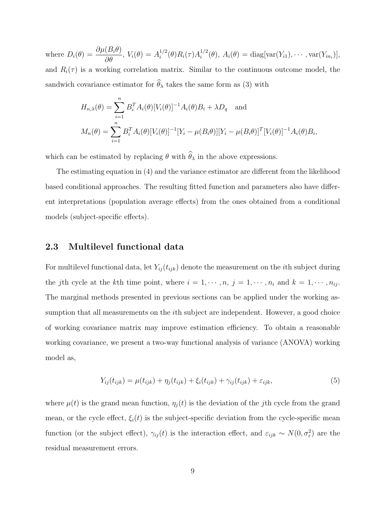where  $D_i(\theta) = \frac{\partial \mu(B_i \theta)}{\partial \theta}$ ,  $V_i(\theta) = A_i^{1/2}$  $i^{1/2}(\theta)R_i(\tau)A_i^{1/2}$  $A_i^{1/2}(\theta), A_i(\theta) = \text{diag}[\text{var}(Y_{i1}), \cdots, \text{var}(Y_{in_i})],$ and  $R_i(\tau)$  is a working correlation matrix. Similar to the continuous outcome model, the sandwich covariance estimator for  $\hat{\theta}_{\lambda}$  takes the same form as (3) with

$$
H_{n,\lambda}(\theta) = \sum_{i=1}^{n} B_i^T A_i(\theta) [V_i(\theta)]^{-1} A_i(\theta) B_i + \lambda D_q \text{ and}
$$
  

$$
M_n(\theta) = \sum_{i=1}^{n} B_i^T A_i(\theta) [V_i(\theta)]^{-1} [Y_i - \mu(B_i \theta)] [Y_i - \mu(B_i \theta)]^T [V_i(\theta)]^{-1} A_i(\theta) B_i,
$$

which can be estimated by replacing  $\theta$  with  $\widehat{\theta}_{\lambda}$  in the above expressions.

The estimating equation in (4) and the variance estimator are different from the likelihood based conditional approaches. The resulting fitted function and parameters also have different interpretations (population average effects) from the ones obtained from a conditional models (subject-specific effects).

#### **2.3 Multilevel functional data**

For multilevel functional data, let  $Y_{ij}(t_{ijk})$  denote the measurement on the *i*th subject during the *j*th cycle at the *k*th time point, where  $i = 1, \dots, n, j = 1, \dots, n_i$  and  $k = 1, \dots, n_{ij}$ . The marginal methods presented in previous sections can be applied under the working assumption that all measurements on the *i*th subject are independent. However, a good choice of working covariance matrix may improve estimation efficiency. To obtain a reasonable working covariance, we present a two-way functional analysis of variance (ANOVA) working model as,

$$
Y_{ij}(t_{ijk}) = \mu(t_{ijk}) + \eta_j(t_{ijk}) + \xi_i(t_{ijk}) + \gamma_{ij}(t_{ijk}) + \varepsilon_{ijk},
$$
\n(5)

where  $\mu(t)$  is the grand mean function,  $\eta_j(t)$  is the deviation of the *j*th cycle from the grand mean, or the cycle effect,  $\xi_i(t)$  is the subject-specific deviation from the cycle-specific mean function (or the subject effect),  $\gamma_{ij}(t)$  is the interaction effect, and  $\varepsilon_{ijk} \sim N(0, \sigma_{\varepsilon}^2)$  are the residual measurement errors.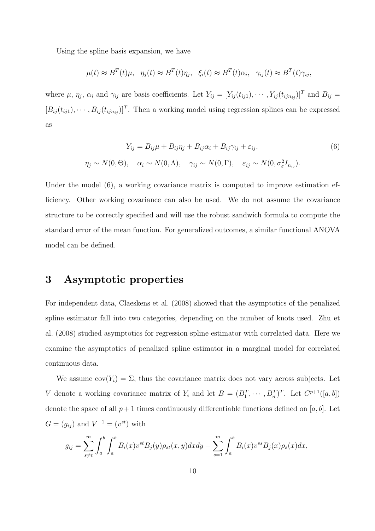Using the spline basis expansion, we have

$$
\mu(t) \approx B^T(t)\mu, \quad \eta_j(t) \approx B^T(t)\eta_j, \quad \xi_i(t) \approx B^T(t)\alpha_i, \quad \gamma_{ij}(t) \approx B^T(t)\gamma_{ij},
$$

where  $\mu$ ,  $\eta_j$ ,  $\alpha_i$  and  $\gamma_{ij}$  are basis coefficients. Let  $Y_{ij} = [Y_{ij}(t_{ij1}), \cdots, Y_{ij}(t_{ijn_{ij}})]^T$  and  $B_{ij} =$  $[B_{ij}(t_{ij1}), \cdots, B_{ij}(t_{ijn_{ij}})]^T$ . Then a working model using regression splines can be expressed as

$$
Y_{ij} = B_{ij}\mu + B_{ij}\eta_j + B_{ij}\alpha_i + B_{ij}\gamma_{ij} + \varepsilon_{ij},
$$
  
\n
$$
\eta_j \sim N(0, \Theta), \quad \alpha_i \sim N(0, \Lambda), \quad \gamma_{ij} \sim N(0, \Gamma), \quad \varepsilon_{ij} \sim N(0, \sigma_\varepsilon^2 I_{n_{ij}}).
$$
\n
$$
(6)
$$

Under the model (6), a working covariance matrix is computed to improve estimation efficiency. Other working covariance can also be used. We do not assume the covariance structure to be correctly specified and will use the robust sandwich formula to compute the standard error of the mean function. For generalized outcomes, a similar functional ANOVA model can be defined.

## **3 Asymptotic properties**

For independent data, Claeskens et al. (2008) showed that the asymptotics of the penalized spline estimator fall into two categories, depending on the number of knots used. Zhu et al. (2008) studied asymptotics for regression spline estimator with correlated data. Here we examine the asymptotics of penalized spline estimator in a marginal model for correlated continuous data.

We assume  $cov(Y_i) = \Sigma$ , thus the covariance matrix does not vary across subjects. Let *V* denote a working covariance matrix of  $Y_i$  and let  $B = (B_1^T, \dots, B_n^T)^T$ . Let  $C^{p+1}([a, b])$ denote the space of all  $p+1$  times continuously differentiable functions defined on [a, b]. Let  $G = (g_{ij})$  and  $V^{-1} = (v^{st})$  with

$$
g_{ij} = \sum_{s \neq t}^{m} \int_{a}^{b} \int_{a}^{b} B_{i}(x) v^{st} B_{j}(y) \rho_{st}(x, y) dx dy + \sum_{s=1}^{m} \int_{a}^{b} B_{i}(x) v^{ss} B_{j}(x) \rho_{s}(x) dx,
$$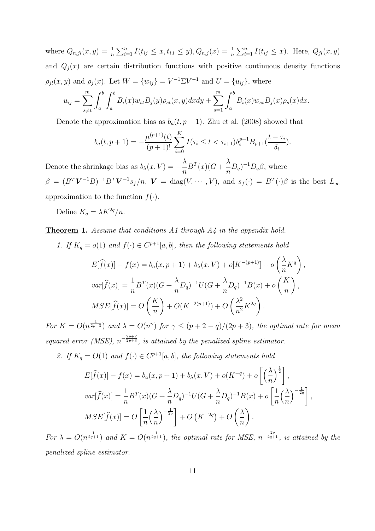where  $Q_{n,jl}(x,y) = \frac{1}{n} \sum_{i=1}^n I(t_{ij} \leq x, t_{i,l} \leq y), Q_{n,j}(x) = \frac{1}{n} \sum_{i=1}^n I(t_{ij} \leq x)$ . Here,  $Q_{jl}(x,y)$ and  $Q_j(x)$  are certain distribution functions with positive continuous density functions  $\rho_{jl}(x, y)$  and  $\rho_j(x)$ . Let  $W = \{w_{ij}\} = V^{-1} \Sigma V^{-1}$  and  $U = \{u_{ij}\}\$ , where

$$
u_{ij} = \sum_{s \neq t}^{m} \int_{a}^{b} \int_{a}^{b} B_{i}(x) w_{st} B_{j}(y) \rho_{st}(x, y) dx dy + \sum_{s=1}^{m} \int_{a}^{b} B_{i}(x) w_{ss} B_{j}(x) \rho_{s}(x) dx.
$$

Denote the approximation bias as  $b_a(t, p+1)$ . Zhu et al. (2008) showed that

$$
b_a(t, p+1) = -\frac{\mu^{(p+1)}(t)}{(p+1)!} \sum_{i=0}^K I(\tau_i \le t < \tau_{i+1}) \delta_i^{p+1} B_{p+1}(\frac{t - \tau_i}{\delta_i}).
$$

Denote the shrinkage bias as  $b_{\lambda}(x, V) =$ *λ n*  $B^{T}(x)(G +$ *λ*  $\frac{\lambda}{n}D_q$ <sup> $-1$ </sup> $D_q$ *β*, where  $\beta = (B^T \mathbf{V}^{-1} B)^{-1} B^T \mathbf{V}^{-1} s_f/n$ ,  $\mathbf{V} = \text{diag}(V, \dots, V)$ , and  $s_f(\cdot) = B^T(\cdot) \beta$  is the best  $L_{\infty}$ approximation to the function  $f(.)$ .

Define  $K_q = \lambda K^{2q}/n$ .

**Theorem 1.** *Assume that conditions A1 through A4 in the appendix hold.*

*1. If*  $K_q = o(1)$  *and*  $f(\cdot) \in C^{p+1}[a, b]$ *, then the following statements hold* 

$$
E[\hat{f}(x)] - f(x) = b_a(x, p+1) + b_{\lambda}(x, V) + o[K^{-(p+1)}] + o\left(\frac{\lambda}{n}K^q\right),
$$
  

$$
var[\hat{f}(x)] = \frac{1}{n}B^T(x)(G + \frac{\lambda}{n}D_q)^{-1}U(G + \frac{\lambda}{n}D_q)^{-1}B(x) + o\left(\frac{K}{n}\right),
$$
  

$$
MSE[\hat{f}(x)] = O\left(\frac{K}{n}\right) + O(K^{-2(p+1)}) + O\left(\frac{\lambda^2}{n^2}K^{2q}\right).
$$

For  $K = O(n^{\frac{1}{2p+3}})$  and  $\lambda = O(n^{\gamma})$  for  $\gamma \le (p+2-q)/(2p+3)$ , the optimal rate for mean *squared error (MSE),*  $n^{-\frac{2p+2}{2p+3}}$ *, is attained by the penalized spline estimator.* 

2. If  $K_q = O(1)$  and  $f(\cdot) \in C^{p+1}[a, b]$ , the following statements hold

$$
E[\widehat{f}(x)] - f(x) = b_a(x, p+1) + b_\lambda(x, V) + o(K^{-q}) + o\left[\left(\frac{\lambda}{n}\right)^{\frac{1}{2}}\right],
$$
  

$$
var[\widehat{f}(x)] = \frac{1}{n}B^T(x)(G + \frac{\lambda}{n}D_q)^{-1}U(G + \frac{\lambda}{n}D_q)^{-1}B(x) + o\left[\frac{1}{n}\left(\frac{\lambda}{n}\right)^{-\frac{1}{2q}}\right],
$$
  

$$
MSE[\widehat{f}(x)] = O\left[\frac{1}{n}\left(\frac{\lambda}{n}\right)^{-\frac{1}{2q}}\right] + O\left(K^{-2q}\right) + O\left(\frac{\lambda}{n}\right).
$$

*For*  $\lambda = O(n^{\frac{1}{2q+1}})$  *and*  $K = O(n^{\frac{1}{2q+1}})$ *, the optimal rate for MSE,*  $n^{-\frac{2q}{2q+1}}$ *, is attained by the penalized spline estimator.*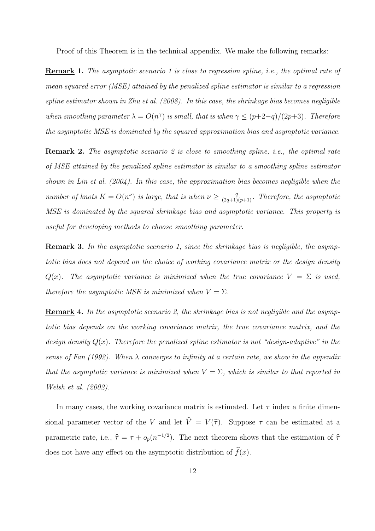Proof of this Theorem is in the technical appendix. We make the following remarks:

**Remark 1.** *The asymptotic scenario 1 is close to regression spline, i.e., the optimal rate of mean squared error (MSE) attained by the penalized spline estimator is similar to a regression spline estimator shown in Zhu et al. (2008). In this case, the shrinkage bias becomes negligible when smoothing parameter*  $\lambda = O(n^{\gamma})$  *is small, that is when*  $\gamma \leq (p+2-q)/(2p+3)$ *. Therefore the asymptotic MSE is dominated by the squared approximation bias and asymptotic variance.*

**Remark 2.** *The asymptotic scenario 2 is close to smoothing spline, i.e., the optimal rate of MSE attained by the penalized spline estimator is similar to a smoothing spline estimator shown in Lin et al. (2004). In this case, the approximation bias becomes negligible when the number of knots*  $K = O(n^{\nu})$  *is large, that is when*  $\nu \geq \frac{q}{(2q+1)(p+1)}$ *. Therefore, the asymptotic MSE is dominated by the squared shrinkage bias and asymptotic variance. This property is useful for developing methods to choose smoothing parameter.*

**Remark 3.** *In the asymptotic scenario 1, since the shrinkage bias is negligible, the asymptotic bias does not depend on the choice of working covariance matrix or the design density Q*(*x*)*.* The asymptotic variance is minimized when the true covariance  $V = \Sigma$  is used, *therefore the asymptotic MSE is minimized when*  $V = \Sigma$ *.* 

**Remark 4.** *In the asymptotic scenario 2, the shrinkage bias is not negligible and the asymptotic bias depends on the working covariance matrix, the true covariance matrix, and the design density*  $Q(x)$ *. Therefore the penalized spline estimator is not "design-adaptive" in the sense of Fan (1992). When λ converges to infinity at a certain rate, we show in the appendix that the asymptotic variance is minimized when*  $V = \Sigma$ *, which is similar to that reported in Welsh et al. (2002).*

In many cases, the working covariance matrix is estimated. Let  $\tau$  index a finite dimensional parameter vector of the *V* and let  $\hat{V} = V(\hat{\tau})$ . Suppose  $\tau$  can be estimated at a parametric rate, i.e.,  $\hat{\tau} = \tau + o_p(n^{-1/2})$ . The next theorem shows that the estimation of  $\hat{\tau}$ does not have any effect on the asymptotic distribution of  $\hat{f}(x)$ .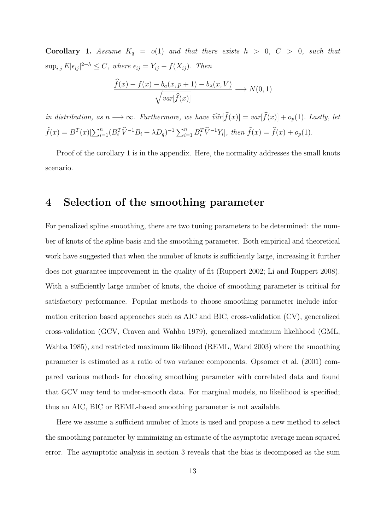**Corollary 1.** Assume  $K_q = o(1)$  and that there exists  $h > 0$ ,  $C > 0$ , such that  $\sup_{i,j} E|\epsilon_{ij}|^{2+h} \leq C$ , where  $\epsilon_{ij} = Y_{ij} - f(X_{ij})$ . Then

$$
\frac{\widehat{f}(x) - f(x) - b_a(x, p+1) - b_\lambda(x, V)}{\sqrt{var[\widehat{f}(x)]}} \longrightarrow N(0, 1)
$$

*in distribution, as*  $n \rightarrow \infty$ *. Furthermore, we have*  $\widehat{var}[\widehat{f}(x)] = var[\widehat{f}(x)] + o_p(1)$ *. Lastly, let*  $\tilde{f}(x) = B^T(x)[\sum_{i=1}^n (B_i^T \hat{V}^{-1}B_i + \lambda D_q)^{-1} \sum_{i=1}^n B_i^T \hat{V}^{-1}Y_i], \text{ then } \tilde{f}(x) = \hat{f}(x) + o_p(1).$ 

Proof of the corollary 1 is in the appendix. Here, the normality addresses the small knots scenario.

## **4 Selection of the smoothing parameter**

For penalized spline smoothing, there are two tuning parameters to be determined: the number of knots of the spline basis and the smoothing parameter. Both empirical and theoretical work have suggested that when the number of knots is sufficiently large, increasing it further does not guarantee improvement in the quality of fit (Ruppert 2002; Li and Ruppert 2008). With a sufficiently large number of knots, the choice of smoothing parameter is critical for satisfactory performance. Popular methods to choose smoothing parameter include information criterion based approaches such as AIC and BIC, cross-validation (CV), generalized cross-validation (GCV, Craven and Wahba 1979), generalized maximum likelihood (GML, Wahba 1985), and restricted maximum likelihood (REML, Wand 2003) where the smoothing parameter is estimated as a ratio of two variance components. Opsomer et al. (2001) compared various methods for choosing smoothing parameter with correlated data and found that GCV may tend to under-smooth data. For marginal models, no likelihood is specified; thus an AIC, BIC or REML-based smoothing parameter is not available.

Here we assume a sufficient number of knots is used and propose a new method to select the smoothing parameter by minimizing an estimate of the asymptotic average mean squared error. The asymptotic analysis in section 3 reveals that the bias is decomposed as the sum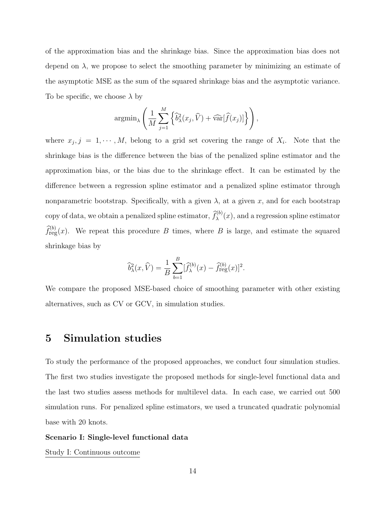of the approximation bias and the shrinkage bias. Since the approximation bias does not depend on  $\lambda$ , we propose to select the smoothing parameter by minimizing an estimate of the asymptotic MSE as the sum of the squared shrinkage bias and the asymptotic variance. To be specific, we choose *λ* by

$$
\operatorname{argmin}_{\lambda} \left( \frac{1}{M} \sum_{j=1}^{M} \left\{ \widehat{b}_{\lambda}^{2}(x_{j}, \widehat{V}) + \widehat{\text{var}}[\widehat{f}(x_{j})] \right\} \right),
$$

where  $x_j$ ,  $j = 1, \dots, M$ , belong to a grid set covering the range of  $X_i$ . Note that the shrinkage bias is the difference between the bias of the penalized spline estimator and the approximation bias, or the bias due to the shrinkage effect. It can be estimated by the difference between a regression spline estimator and a penalized spline estimator through nonparametric bootstrap. Specifically, with a given  $\lambda$ , at a given x, and for each bootstrap copy of data, we obtain a penalized spline estimator,  $\hat{f}_{\lambda}^{(b)}(x)$ , and a regression spline estimator  $\hat{f}^{(b)}_{reg}(x)$ . We repeat this procedure *B* times, where *B* is large, and estimate the squared shrinkage bias by

$$
\widehat{b}_{\lambda}^{2}(x,\widehat{V}) = \frac{1}{B} \sum_{b=1}^{B} [\widehat{f}_{\lambda}^{(b)}(x) - \widehat{f}_{\text{reg}}^{(b)}(x)]^{2}.
$$

We compare the proposed MSE-based choice of smoothing parameter with other existing alternatives, such as CV or GCV, in simulation studies.

### **5 Simulation studies**

To study the performance of the proposed approaches, we conduct four simulation studies. The first two studies investigate the proposed methods for single-level functional data and the last two studies assess methods for multilevel data. In each case, we carried out 500 simulation runs. For penalized spline estimators, we used a truncated quadratic polynomial base with 20 knots.

#### **Scenario I: Single-level functional data**

Study I: Continuous outcome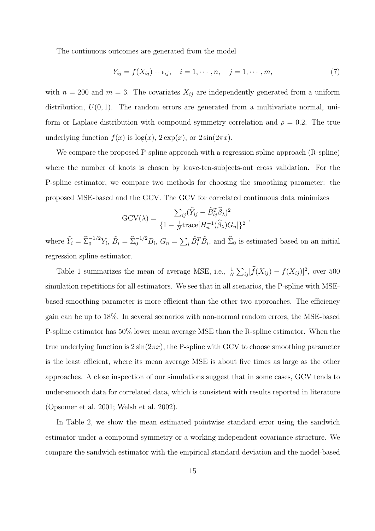The continuous outcomes are generated from the model

$$
Y_{ij} = f(X_{ij}) + \epsilon_{ij}, \quad i = 1, \cdots, n, \quad j = 1, \cdots, m,
$$
 (7)

with  $n = 200$  and  $m = 3$ . The covariates  $X_{ij}$  are independently generated from a uniform distribution,  $U(0, 1)$ . The random errors are generated from a multivariate normal, uniform or Laplace distribution with compound symmetry correlation and  $\rho = 0.2$ . The true underlying function  $f(x)$  is  $log(x)$ ,  $2 exp(x)$ , or  $2 sin(2\pi x)$ .

We compare the proposed P-spline approach with a regression spline approach (R-spline) where the number of knots is chosen by leave-ten-subjects-out cross validation. For the P-spline estimator, we compare two methods for choosing the smoothing parameter: the proposed MSE-based and the GCV. The GCV for correlated continuous data minimizes

$$
GCV(\lambda) = \frac{\sum_{ij} (\tilde{Y}_{ij} - \tilde{B}_{ij}^T \hat{\beta}_{\lambda})^2}{\{1 - \frac{1}{N} trace[H_n^{-1}(\hat{\beta}_{\lambda})G_n]\}^2},
$$

where  $\tilde{Y}_i = \hat{\Sigma}_0^{-1/2} Y_i$ ,  $\tilde{B}_i = \hat{\Sigma}_0^{-1/2} B_i$ ,  $G_n = \sum_i \tilde{B}_i^T \tilde{B}_i$ , and  $\hat{\Sigma}_0$  is estimated based on an initial regression spline estimator.

Table 1 summarizes the mean of average MSE, i.e.,  $\frac{1}{N} \sum_{ij} [\hat{f}(X_{ij}) - f(X_{ij})]^2$ , over 500 simulation repetitions for all estimators. We see that in all scenarios, the P-spline with MSEbased smoothing parameter is more efficient than the other two approaches. The efficiency gain can be up to 18%. In several scenarios with non-normal random errors, the MSE-based P-spline estimator has 50% lower mean average MSE than the R-spline estimator. When the true underlying function is  $2\sin(2\pi x)$ , the P-spline with GCV to choose smoothing parameter is the least efficient, where its mean average MSE is about five times as large as the other approaches. A close inspection of our simulations suggest that in some cases, GCV tends to under-smooth data for correlated data, which is consistent with results reported in literature (Opsomer et al. 2001; Welsh et al. 2002).

In Table 2, we show the mean estimated pointwise standard error using the sandwich estimator under a compound symmetry or a working independent covariance structure. We compare the sandwich estimator with the empirical standard deviation and the model-based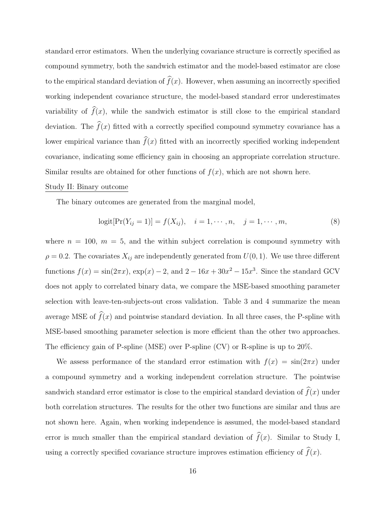standard error estimators. When the underlying covariance structure is correctly specified as compound symmetry, both the sandwich estimator and the model-based estimator are close to the empirical standard deviation of  $\hat{f}(x)$ . However, when assuming an incorrectly specified working independent covariance structure, the model-based standard error underestimates variability of  $\hat{f}(x)$ , while the sandwich estimator is still close to the empirical standard deviation. The  $\hat{f}(x)$  fitted with a correctly specified compound symmetry covariance has a lower empirical variance than  $\widehat{f}(x)$  fitted with an incorrectly specified working independent covariance, indicating some efficiency gain in choosing an appropriate correlation structure. Similar results are obtained for other functions of  $f(x)$ , which are not shown here.

#### Study II: Binary outcome

The binary outcomes are generated from the marginal model,

$$
logit[Pr(Y_{ij} = 1)] = f(X_{ij}), \quad i = 1, \cdots, n, \quad j = 1, \cdots, m,
$$
\n(8)

where  $n = 100$ ,  $m = 5$ , and the within subject correlation is compound symmetry with  $\rho = 0.2$ . The covariates  $X_{ij}$  are independently generated from  $U(0, 1)$ . We use three different functions  $f(x) = \sin(2\pi x)$ ,  $\exp(x) - 2$ , and  $2 - 16x + 30x^2 - 15x^3$ . Since the standard GCV does not apply to correlated binary data, we compare the MSE-based smoothing parameter selection with leave-ten-subjects-out cross validation. Table 3 and 4 summarize the mean average MSE of  $\widehat{f}(x)$  and pointwise standard deviation. In all three cases, the P-spline with MSE-based smoothing parameter selection is more efficient than the other two approaches. The efficiency gain of P-spline (MSE) over P-spline (CV) or R-spline is up to 20%.

We assess performance of the standard error estimation with  $f(x) = \sin(2\pi x)$  under a compound symmetry and a working independent correlation structure. The pointwise sandwich standard error estimator is close to the empirical standard deviation of  $\hat{f}(x)$  under both correlation structures. The results for the other two functions are similar and thus are not shown here. Again, when working independence is assumed, the model-based standard error is much smaller than the empirical standard deviation of  $\hat{f}(x)$ . Similar to Study I, using a correctly specified covariance structure improves estimation efficiency of  $\widehat{f}(x)$ .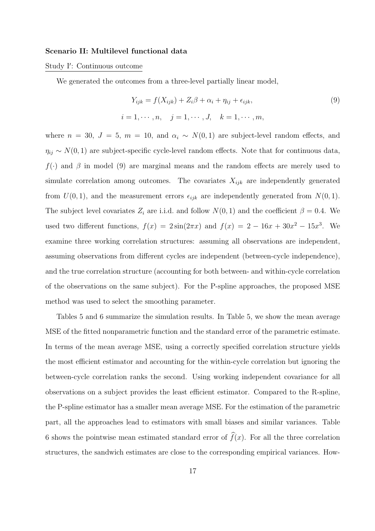#### **Scenario II: Multilevel functional data**

#### Study I*′* : Continuous outcome

We generated the outcomes from a three-level partially linear model,

$$
Y_{ijk} = f(X_{ijk}) + Z_i\beta + \alpha_i + \eta_{ij} + \epsilon_{ijk},
$$
  
\n
$$
i = 1, \dots, n, \quad j = 1, \dots, J, \quad k = 1, \dots, m,
$$
\n(9)

where  $n = 30$ ,  $J = 5$ ,  $m = 10$ , and  $\alpha_i \sim N(0, 1)$  are subject-level random effects, and  $\eta_{ij} \sim N(0, 1)$  are subject-specific cycle-level random effects. Note that for continuous data,  $f(\cdot)$  and  $\beta$  in model (9) are marginal means and the random effects are merely used to simulate correlation among outcomes. The covariates *Xijk* are independently generated from  $U(0,1)$ , and the measurement errors  $\epsilon_{ijk}$  are independently generated from  $N(0,1)$ . The subject level covariates  $Z_i$  are i.i.d. and follow  $N(0, 1)$  and the coefficient  $\beta = 0.4$ . We used two different functions,  $f(x) = 2\sin(2\pi x)$  and  $f(x) = 2 - 16x + 30x^2 - 15x^3$ . We examine three working correlation structures: assuming all observations are independent, assuming observations from different cycles are independent (between-cycle independence), and the true correlation structure (accounting for both between- and within-cycle correlation of the observations on the same subject). For the P-spline approaches, the proposed MSE method was used to select the smoothing parameter.

Tables 5 and 6 summarize the simulation results. In Table 5, we show the mean average MSE of the fitted nonparametric function and the standard error of the parametric estimate. In terms of the mean average MSE, using a correctly specified correlation structure yields the most efficient estimator and accounting for the within-cycle correlation but ignoring the between-cycle correlation ranks the second. Using working independent covariance for all observations on a subject provides the least efficient estimator. Compared to the R-spline, the P-spline estimator has a smaller mean average MSE. For the estimation of the parametric part, all the approaches lead to estimators with small biases and similar variances. Table 6 shows the pointwise mean estimated standard error of  $\widehat{f}(x)$ . For all the three correlation structures, the sandwich estimates are close to the corresponding empirical variances. How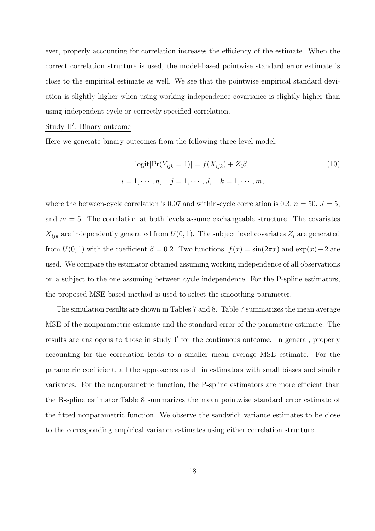ever, properly accounting for correlation increases the efficiency of the estimate. When the correct correlation structure is used, the model-based pointwise standard error estimate is close to the empirical estimate as well. We see that the pointwise empirical standard deviation is slightly higher when using working independence covariance is slightly higher than using independent cycle or correctly specified correlation.

#### Study II*′* : Binary outcome

Here we generate binary outcomes from the following three-level model:

$$
logit[Pr(Y_{ijk} = 1)] = f(X_{ijk}) + Z_i\beta,
$$
\n
$$
i = 1, \cdots, n, \quad j = 1, \cdots, J, \quad k = 1, \cdots, m,
$$
\n(10)

where the between-cycle correlation is 0.07 and within-cycle correlation is 0.3,  $n = 50$ ,  $J = 5$ , and  $m = 5$ . The correlation at both levels assume exchangeable structure. The covariates  $X_{ijk}$  are independently generated from  $U(0, 1)$ . The subject level covariates  $Z_i$  are generated from  $U(0,1)$  with the coefficient  $\beta = 0.2$ . Two functions,  $f(x) = \sin(2\pi x)$  and  $\exp(x) - 2$  are used. We compare the estimator obtained assuming working independence of all observations on a subject to the one assuming between cycle independence. For the P-spline estimators, the proposed MSE-based method is used to select the smoothing parameter.

The simulation results are shown in Tables 7 and 8. Table 7 summarizes the mean average MSE of the nonparametric estimate and the standard error of the parametric estimate. The results are analogous to those in study I*′* for the continuous outcome. In general, properly accounting for the correlation leads to a smaller mean average MSE estimate. For the parametric coefficient, all the approaches result in estimators with small biases and similar variances. For the nonparametric function, the P-spline estimators are more efficient than the R-spline estimator.Table 8 summarizes the mean pointwise standard error estimate of the fitted nonparametric function. We observe the sandwich variance estimates to be close to the corresponding empirical variance estimates using either correlation structure.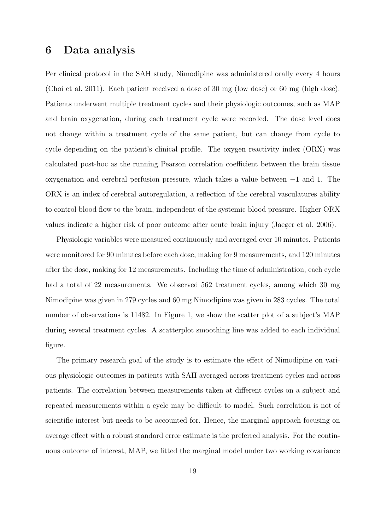## **6 Data analysis**

Per clinical protocol in the SAH study, Nimodipine was administered orally every 4 hours (Choi et al. 2011). Each patient received a dose of 30 mg (low dose) or 60 mg (high dose). Patients underwent multiple treatment cycles and their physiologic outcomes, such as MAP and brain oxygenation, during each treatment cycle were recorded. The dose level does not change within a treatment cycle of the same patient, but can change from cycle to cycle depending on the patient's clinical profile. The oxygen reactivity index (ORX) was calculated post-hoc as the running Pearson correlation coefficient between the brain tissue oxygenation and cerebral perfusion pressure, which takes a value between *−*1 and 1. The ORX is an index of cerebral autoregulation, a reflection of the cerebral vasculatures ability to control blood flow to the brain, independent of the systemic blood pressure. Higher ORX values indicate a higher risk of poor outcome after acute brain injury (Jaeger et al. 2006).

Physiologic variables were measured continuously and averaged over 10 minutes. Patients were monitored for 90 minutes before each dose, making for 9 measurements, and 120 minutes after the dose, making for 12 measurements. Including the time of administration, each cycle had a total of 22 measurements. We observed 562 treatment cycles, among which 30 mg Nimodipine was given in 279 cycles and 60 mg Nimodipine was given in 283 cycles. The total number of observations is 11482. In Figure 1, we show the scatter plot of a subject's MAP during several treatment cycles. A scatterplot smoothing line was added to each individual figure.

The primary research goal of the study is to estimate the effect of Nimodipine on various physiologic outcomes in patients with SAH averaged across treatment cycles and across patients. The correlation between measurements taken at different cycles on a subject and repeated measurements within a cycle may be difficult to model. Such correlation is not of scientific interest but needs to be accounted for. Hence, the marginal approach focusing on average effect with a robust standard error estimate is the preferred analysis. For the continuous outcome of interest, MAP, we fitted the marginal model under two working covariance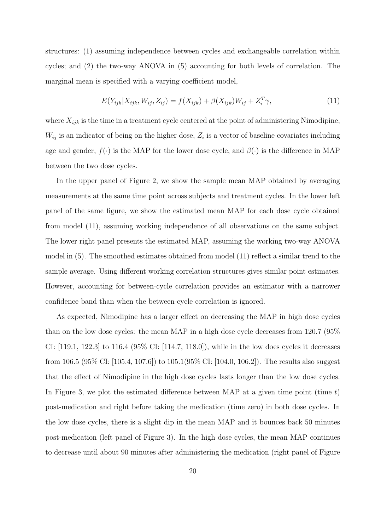structures: (1) assuming independence between cycles and exchangeable correlation within cycles; and (2) the two-way ANOVA in (5) accounting for both levels of correlation. The marginal mean is specified with a varying coefficient model,

$$
E(Y_{ijk}|X_{ijk}, W_{ij}, Z_{ij}) = f(X_{ijk}) + \beta(X_{ijk})W_{ij} + Z_i^T \gamma,
$$
\n(11)

where  $X_{ijk}$  is the time in a treatment cycle centered at the point of administering Nimodipine,  $W_{ij}$  is an indicator of being on the higher dose,  $Z_i$  is a vector of baseline covariates including age and gender,  $f(\cdot)$  is the MAP for the lower dose cycle, and  $\beta(\cdot)$  is the difference in MAP between the two dose cycles.

In the upper panel of Figure 2, we show the sample mean MAP obtained by averaging measurements at the same time point across subjects and treatment cycles. In the lower left panel of the same figure, we show the estimated mean MAP for each dose cycle obtained from model (11), assuming working independence of all observations on the same subject. The lower right panel presents the estimated MAP, assuming the working two-way ANOVA model in (5). The smoothed estimates obtained from model (11) reflect a similar trend to the sample average. Using different working correlation structures gives similar point estimates. However, accounting for between-cycle correlation provides an estimator with a narrower confidence band than when the between-cycle correlation is ignored.

As expected, Nimodipine has a larger effect on decreasing the MAP in high dose cycles than on the low dose cycles: the mean MAP in a high dose cycle decreases from 120.7 (95% CI: [119.1, 122.3] to 116.4 (95% CI: [114.7, 118.0]), while in the low does cycles it decreases from 106.5 (95% CI: [105.4, 107.6]) to 105.1(95% CI: [104.0, 106.2]). The results also suggest that the effect of Nimodipine in the high dose cycles lasts longer than the low dose cycles. In Figure 3, we plot the estimated difference between MAP at a given time point (time *t*) post-medication and right before taking the medication (time zero) in both dose cycles. In the low dose cycles, there is a slight dip in the mean MAP and it bounces back 50 minutes post-medication (left panel of Figure 3). In the high dose cycles, the mean MAP continues to decrease until about 90 minutes after administering the medication (right panel of Figure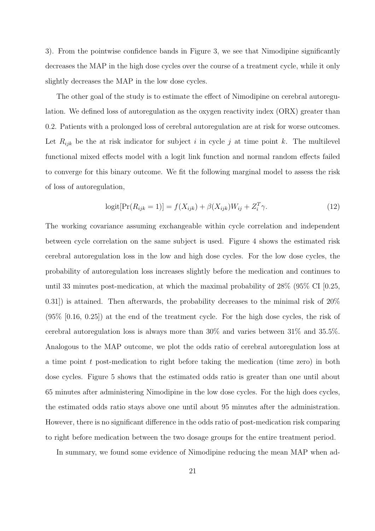3). From the pointwise confidence bands in Figure 3, we see that Nimodipine significantly decreases the MAP in the high dose cycles over the course of a treatment cycle, while it only slightly decreases the MAP in the low dose cycles.

The other goal of the study is to estimate the effect of Nimodipine on cerebral autoregulation. We defined loss of autoregulation as the oxygen reactivity index (ORX) greater than 0.2. Patients with a prolonged loss of cerebral autoregulation are at risk for worse outcomes. Let  $R_{ijk}$  be the at risk indicator for subject *i* in cycle *j* at time point *k*. The multilevel functional mixed effects model with a logit link function and normal random effects failed to converge for this binary outcome. We fit the following marginal model to assess the risk of loss of autoregulation,

$$
logit[Pr(R_{ijk} = 1)] = f(X_{ijk}) + \beta(X_{ijk})W_{ij} + Z_i^T \gamma.
$$
\n(12)

The working covariance assuming exchangeable within cycle correlation and independent between cycle correlation on the same subject is used. Figure 4 shows the estimated risk cerebral autoregulation loss in the low and high dose cycles. For the low dose cycles, the probability of autoregulation loss increases slightly before the medication and continues to until 33 minutes post-medication, at which the maximal probability of 28% (95% CI [0.25, 0.31]) is attained. Then afterwards, the probability decreases to the minimal risk of 20%  $(95\% \, [0.16, 0.25])$  at the end of the treatment cycle. For the high dose cycles, the risk of cerebral autoregulation loss is always more than 30% and varies between 31% and 35.5%. Analogous to the MAP outcome, we plot the odds ratio of cerebral autoregulation loss at a time point *t* post-medication to right before taking the medication (time zero) in both dose cycles. Figure 5 shows that the estimated odds ratio is greater than one until about 65 minutes after administering Nimodipine in the low dose cycles. For the high does cycles, the estimated odds ratio stays above one until about 95 minutes after the administration. However, there is no significant difference in the odds ratio of post-medication risk comparing to right before medication between the two dosage groups for the entire treatment period.

In summary, we found some evidence of Nimodipine reducing the mean MAP when ad-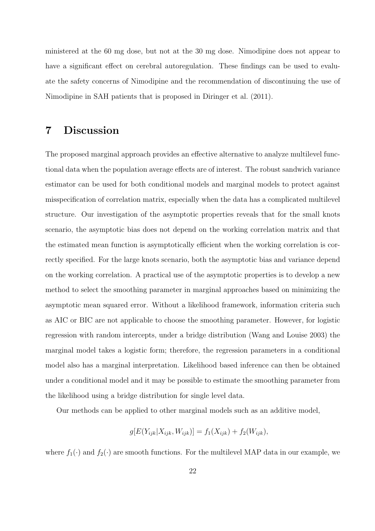ministered at the 60 mg dose, but not at the 30 mg dose. Nimodipine does not appear to have a significant effect on cerebral autoregulation. These findings can be used to evaluate the safety concerns of Nimodipine and the recommendation of discontinuing the use of Nimodipine in SAH patients that is proposed in Diringer et al. (2011).

## **7 Discussion**

The proposed marginal approach provides an effective alternative to analyze multilevel functional data when the population average effects are of interest. The robust sandwich variance estimator can be used for both conditional models and marginal models to protect against misspecification of correlation matrix, especially when the data has a complicated multilevel structure. Our investigation of the asymptotic properties reveals that for the small knots scenario, the asymptotic bias does not depend on the working correlation matrix and that the estimated mean function is asymptotically efficient when the working correlation is correctly specified. For the large knots scenario, both the asymptotic bias and variance depend on the working correlation. A practical use of the asymptotic properties is to develop a new method to select the smoothing parameter in marginal approaches based on minimizing the asymptotic mean squared error. Without a likelihood framework, information criteria such as AIC or BIC are not applicable to choose the smoothing parameter. However, for logistic regression with random intercepts, under a bridge distribution (Wang and Louise 2003) the marginal model takes a logistic form; therefore, the regression parameters in a conditional model also has a marginal interpretation. Likelihood based inference can then be obtained under a conditional model and it may be possible to estimate the smoothing parameter from the likelihood using a bridge distribution for single level data.

Our methods can be applied to other marginal models such as an additive model,

$$
g[E(Y_{ijk}|X_{ijk}, W_{ijk})] = f_1(X_{ijk}) + f_2(W_{ijk}),
$$

where  $f_1(\cdot)$  and  $f_2(\cdot)$  are smooth functions. For the multilevel MAP data in our example, we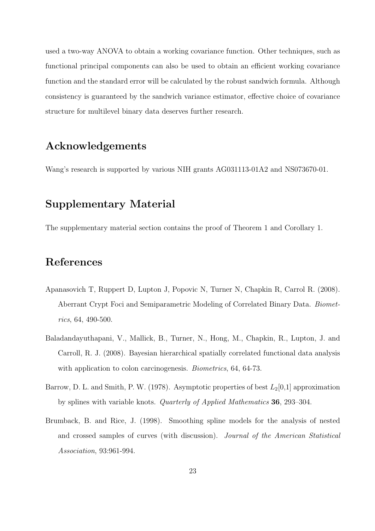used a two-way ANOVA to obtain a working covariance function. Other techniques, such as functional principal components can also be used to obtain an efficient working covariance function and the standard error will be calculated by the robust sandwich formula. Although consistency is guaranteed by the sandwich variance estimator, effective choice of covariance structure for multilevel binary data deserves further research.

## **Acknowledgements**

Wang's research is supported by various NIH grants AG031113-01A2 and NS073670-01.

## **Supplementary Material**

The supplementary material section contains the proof of Theorem 1 and Corollary 1.

## **References**

- Apanasovich T, Ruppert D, Lupton J, Popovic N, Turner N, Chapkin R, Carrol R. (2008). Aberrant Crypt Foci and Semiparametric Modeling of Correlated Binary Data. *Biometrics*, 64, 490-500.
- Baladandayuthapani, V., Mallick, B., Turner, N., Hong, M., Chapkin, R., Lupton, J. and Carroll, R. J. (2008). Bayesian hierarchical spatially correlated functional data analysis with application to colon carcinogenesis. *Biometrics*, 64, 64-73.
- Barrow, D. L. and Smith, P. W. (1978). Asymptotic properties of best *L*2[0,1] approximation by splines with variable knots. *Quarterly of Applied Mathematics* **36**, 293–304.
- Brumback, B. and Rice, J. (1998). Smoothing spline models for the analysis of nested and crossed samples of curves (with discussion). *Journal of the American Statistical Association*, 93:961-994.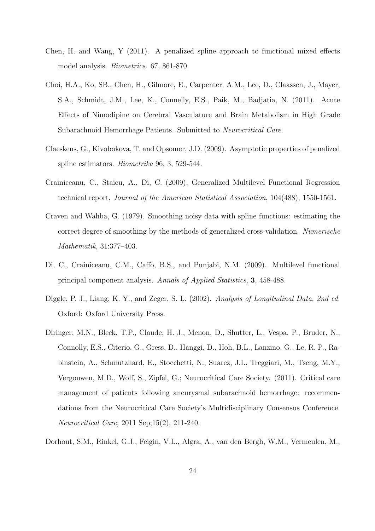- Chen, H. and Wang, Y (2011). A penalized spline approach to functional mixed effects model analysis. *Biometrics*. 67, 861-870.
- Choi, H.A., Ko, SB., Chen, H., Gilmore, E., Carpenter, A.M., Lee, D., Claassen, J., Mayer, S.A., Schmidt, J.M., Lee, K., Connelly, E.S., Paik, M., Badjatia, N. (2011). Acute Effects of Nimodipine on Cerebral Vasculature and Brain Metabolism in High Grade Subarachnoid Hemorrhage Patients. Submitted to *Neurocritical Care.*
- Claeskens, G., Kivobokova, T. and Opsomer, J.D. (2009). Asymptotic properties of penalized spline estimators. *Biometrika* 96, 3, 529-544.
- Crainiceanu, C., Staicu, A., Di, C. (2009), Generalized Multilevel Functional Regression technical report, *Journal of the American Statistical Association*, 104(488), 1550-1561.
- Craven and Wahba, G. (1979). Smoothing noisy data with spline functions: estimating the correct degree of smoothing by the methods of generalized cross-validation. *Numerische Mathematik*, 31:377–403.
- Di, C., Crainiceanu, C.M., Caffo, B.S., and Punjabi, N.M. (2009). Multilevel functional principal component analysis. *Annals of Applied Statistics*, **3**, 458-488.
- Diggle, P. J., Liang, K. Y., and Zeger, S. L. (2002). *Analysis of Longitudinal Data, 2nd ed.* Oxford: Oxford University Press.
- Diringer, M.N., Bleck, T.P., Claude, H. J., Menon, D., Shutter, L., Vespa, P., Bruder, N., Connolly, E.S., Citerio, G., Gress, D., Hanggi, D., Hoh, B.L., Lanzino, G., Le, R. P., Rabinstein, A., Schmutzhard, E., Stocchetti, N., Suarez, J.I., Treggiari, M., Tseng, M.Y., Vergouwen, M.D., Wolf, S., Zipfel, G.; Neurocritical Care Society. (2011). Critical care management of patients following aneurysmal subarachnoid hemorrhage: recommendations from the Neurocritical Care Society's Multidisciplinary Consensus Conference. *Neurocritical Care,* 2011 Sep;15(2), 211-240.
- Dorhout, S.M., Rinkel, G.J., Feigin, V.L., Algra, A., van den Bergh, W.M., Vermeulen, M.,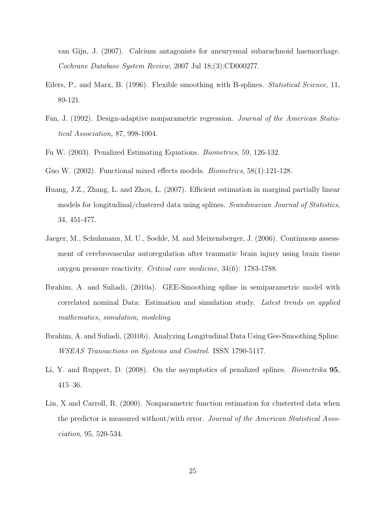van Gijn, J. (2007). Calcium antagonists for aneurysmal subarachnoid haemorrhage. *Cochrane Database System Review,* 2007 Jul 18;(3):CD000277.

- Eilers, P., and Marx, B. (1996). Flexible smoothing with B-splines. *Statistical Science*, 11, 89-121.
- Fan, J. (1992). Design-adaptive nonparametric regression. *Journal of the American Statistical Association,* 87, 998-1004.
- Fu W. (2003). Penalized Estimating Equations. *Biometrics*, 59, 126-132.
- Guo W. (2002). Functional mixed effects models. *Biometrics*, 58(1):121-128.
- Huang, J.Z., Zhang, L. and Zhou, L. (2007). Efficient estimation in marginal partially linear models for longitudinal/clustered data using splines. *Scandinavian Journal of Statistics*, 34, 451-477.
- Jaeger, M., Schuhmann, M. U., Soehle, M. and Meixensberger, J. (2006). Continuous assessment of cerebrovascular autoregulation after traumatic brain injury using brain tissue oxygen pressure reactivity. *Critical care medicine*, 34(6): 1783-1788.
- Ibrahim, A. and Suliadi, (2010a). GEE-Smoothing spline in semiparametric model with correlated nominal Data: Estimation and simulation study. *Latest trends on applied mathematics, simulation, modeling*.
- Ibrahim, A. and Suliadi, (2010b). Analyzing Longitudinal Data Using Gee-Smoothing Spline. *WSEAS Transactions on Systems and Control*. ISSN 1790-5117.
- Li, Y. and Ruppert, D. (2008). On the asymptotics of penalized splines. *Biometrika* **95**, 415–36.
- Lin, X and Carroll, R. (2000). Nonparametric function estimation for clusterted data when the predictor is measured without/with error. *Journal of the American Statistical Association*, 95, 520-534.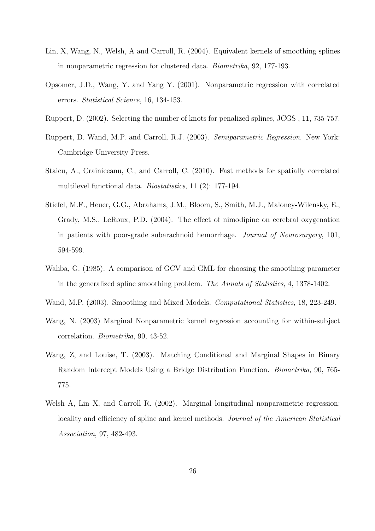- Lin, X, Wang, N., Welsh, A and Carroll, R. (2004). Equivalent kernels of smoothing splines in nonparametric regression for clustered data. *Biometrika*, 92, 177-193.
- Opsomer, J.D., Wang, Y. and Yang Y. (2001). Nonparametric regression with correlated errors. *Statistical Science*, 16, 134-153.
- Ruppert, D. (2002). Selecting the number of knots for penalized splines, JCGS , 11, 735-757.
- Ruppert, D. Wand, M.P. and Carroll, R.J. (2003). *Semiparametric Regression*. New York: Cambridge University Press.
- Staicu, A., Crainiceanu, C., and Carroll, C. (2010). Fast methods for spatially correlated multilevel functional data. *Biostatistics*, 11 (2): 177-194.
- Stiefel, M.F., Heuer, G.G., Abrahams, J.M., Bloom, S., Smith, M.J., Maloney-Wilensky, E., Grady, M.S., LeRoux, P.D. (2004). The effect of nimodipine on cerebral oxygenation in patients with poor-grade subarachnoid hemorrhage. *Journal of Neurosurgery*, 101, 594-599.
- Wahba, G. (1985). A comparison of GCV and GML for choosing the smoothing parameter in the generalized spline smoothing problem. *The Annals of Statistics*, 4, 1378-1402.
- Wand, M.P. (2003). Smoothing and Mixed Models. *Computational Statistics*, 18, 223-249.
- Wang, N. (2003) Marginal Nonparametric kernel regression accounting for within-subject correlation. *Biometrika*, 90, 43-52.
- Wang, Z, and Louise, T. (2003). Matching Conditional and Marginal Shapes in Binary Random Intercept Models Using a Bridge Distribution Function. *Biometrika*, 90, 765- 775.
- Welsh A, Lin X, and Carroll R. (2002). Marginal longitudinal nonparametric regression: locality and efficiency of spline and kernel methods. *Journal of the American Statistical Association*, 97, 482-493.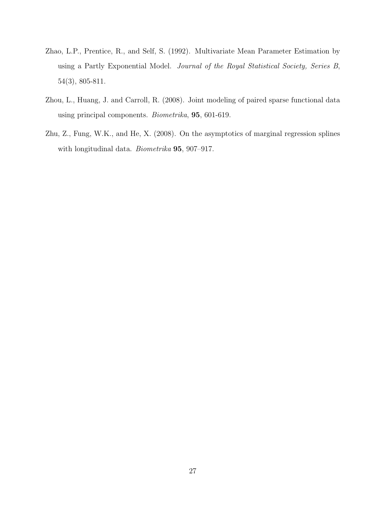- Zhao, L.P., Prentice, R., and Self, S. (1992). Multivariate Mean Parameter Estimation by using a Partly Exponential Model. *Journal of the Royal Statistical Society, Series B*, 54(3), 805-811.
- Zhou, L., Huang, J. and Carroll, R. (2008). Joint modeling of paired sparse functional data using principal components. *Biometrika*, **95**, 601-619.
- Zhu, Z., Fung, W.K., and He, X. (2008). On the asymptotics of marginal regression splines with longitudinal data. *Biometrika* **95**, 907–917.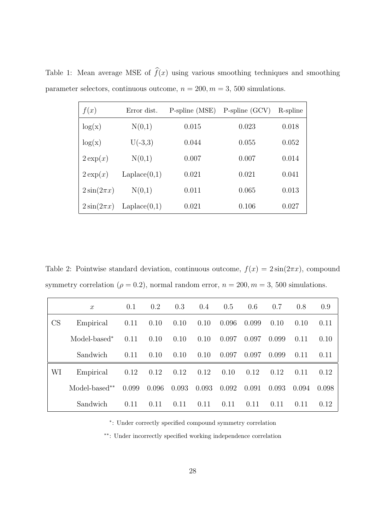| f(x)            | Error dist.  | P-spline (MSE) | $P\text{-}\text{split}$ (GCV) | R-spline |
|-----------------|--------------|----------------|-------------------------------|----------|
| log(x)          | N(0,1)       | 0.015          | 0.023                         | 0.018    |
| log(x)          | $U(-3,3)$    | 0.044          | 0.055                         | 0.052    |
| $2 \exp(x)$     | N(0,1)       | 0.007          | 0.007                         | 0.014    |
| $2 \exp(x)$     | Laplace(0,1) | 0.021          | 0.021                         | 0.041    |
| $2\sin(2\pi x)$ | N(0,1)       | 0.011          | 0.065                         | 0.013    |
| $2\sin(2\pi x)$ | Laplace(0,1) | 0.021          | 0.106                         | 0.027    |

Table 1: Mean average MSE of  $\widehat{f}(x)$  using various smoothing techniques and smoothing parameter selectors, continuous outcome,  $n = 200, m = 3, 500$  simulations.

Table 2: Pointwise standard deviation, continuous outcome,  $f(x) = 2\sin(2\pi x)$ , compound symmetry correlation ( $\rho = 0.2$ ), normal random error,  $n = 200, m = 3, 500$  simulations.

|    | $\boldsymbol{x}$ | 0.1   | 0.2   | 0.3   | 0.4   | 0.5   | 0.6   | 0.7   | 0.8   | 0.9   |
|----|------------------|-------|-------|-------|-------|-------|-------|-------|-------|-------|
| CS | Empirical        | 0.11  | 0.10  | 0.10  | 0.10  | 0.096 | 0.099 | 0.10  | 0.10  | 0.11  |
|    | Model-based*     | 0.11  | 0.10  | 0.10  | 0.10  | 0.097 | 0.097 | 0.099 | 0.11  | 0.10  |
|    | Sandwich         | 0.11  | 0.10  | 0.10  | 0.10  | 0.097 | 0.097 | 0.099 | 0.11  | 0.11  |
| WI | Empirical        | 0.12  | 0.12  | 0.12  | 0.12  | 0.10  | 0.12  | 0.12  | 0.11  | 0.12  |
|    | Model-based**    | 0.099 | 0.096 | 0.093 | 0.093 | 0.092 | 0.091 | 0.093 | 0.094 | 0.098 |
|    | Sandwich         | 0.11  | 0.11  | 0.11  | 0.11  | 0.11  | 0.11  | 0.11  | 0.11  | 0.12  |

*∗* : Under correctly specified compound symmetry correlation

*∗∗*: Under incorrectly specified working independence correlation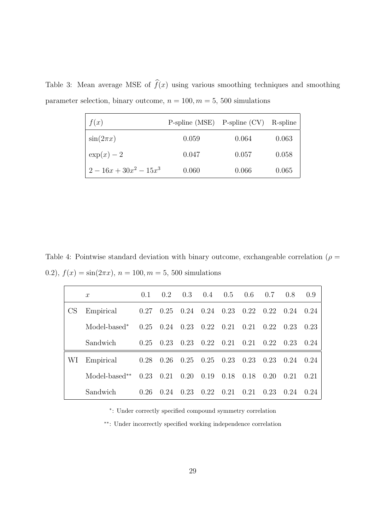Table 3: Mean average MSE of  $\widehat{f}(x)$  using various smoothing techniques and smoothing parameter selection, binary outcome,  $n = 100, m = 5, 500$  simulations

| f(x)                | $P\text{-spline (MSE)}$ $P\text{-spline (CV)}$ |       | R-spline |
|---------------------|------------------------------------------------|-------|----------|
| $\sin(2\pi x)$      | 0.059                                          | 0.064 | 0.063    |
| $\exp(x)-2$         | 0.047                                          | 0.057 | 0.058    |
| $2-16x+30x^2-15x^3$ | 0.060                                          | 0.066 | 0.065    |

Table 4: Pointwise standard deviation with binary outcome, exchangeable correlation ( $\rho =$ 0.2),  $f(x) = \sin(2\pi x)$ ,  $n = 100$ ,  $m = 5$ , 500 simulations

|           | $\boldsymbol{x}$         | 0.1  | 0.2  | 0.3         | 0.4  | 0.5  | 0.6  | 0.7  | 0.8  | (0.9) |
|-----------|--------------------------|------|------|-------------|------|------|------|------|------|-------|
| <b>CS</b> | Empirical                | 0.27 | 0.25 | 0.24        | 0.24 | 0.23 | 0.22 | 0.22 | 0.24 | 0.24  |
|           | Model-based <sup>*</sup> | 0.25 | 0.24 | 0.23        | 0.22 | 0.21 | 0.21 | 0.22 | 0.23 | 0.23  |
|           | Sandwich                 | 0.25 | 0.23 | 0.23        | 0.22 | 0.21 | 0.21 | 0.22 | 0.23 | 0.24  |
| WI        | Empirical                | 0.28 | 0.26 | $0.25$ 0.25 |      | 0.23 | 0.23 | 0.23 | 0.24 | 0.24  |
|           | Model-based**            | 0.23 | 0.21 | 0.20        | 0.19 | 0.18 | 0.18 | 0.20 | 0.21 | 0.21  |
|           | Sandwich                 | 0.26 | 0.24 | 0.23        | 0.22 | 0.21 | 0.21 | 0.23 | 0.24 | 0.24  |

*∗* : Under correctly specified compound symmetry correlation

*∗∗*: Under incorrectly specified working independence correlation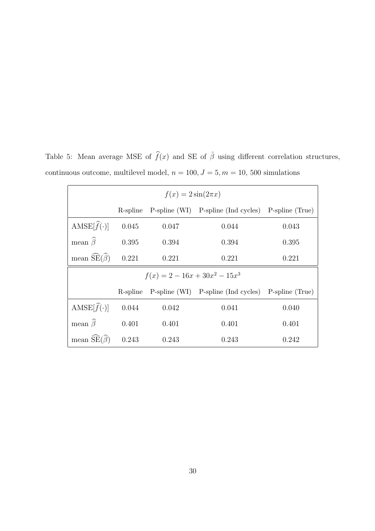Table 5: Mean average MSE of  $\hat{f}(x)$  and SE of  $\hat{\beta}$  using different correlation structures, continuous outcome, multilevel model,  $n = 100, J = 5, m = 10, 500$  simulations

| $f(x) = 2\sin(2\pi x)$                        |       |       |                                                              |                 |  |  |  |  |  |
|-----------------------------------------------|-------|-------|--------------------------------------------------------------|-----------------|--|--|--|--|--|
|                                               |       |       | R-spline P-spline (WI) P-spline (Ind cycles)                 | P-spline (True) |  |  |  |  |  |
| AMSE $[\hat{f}(\cdot)]$                       | 0.045 | 0.047 | 0.044                                                        | 0.043           |  |  |  |  |  |
| mean $\widehat{\beta}$                        | 0.395 | 0.394 | 0.394                                                        | 0.395           |  |  |  |  |  |
| mean $\widetilde{\text{SE}}(\widehat{\beta})$ | 0.221 | 0.221 | 0.221                                                        | 0.221           |  |  |  |  |  |
| $f(x) = 2 - 16x + 30x^{2} - 15x^{3}$          |       |       |                                                              |                 |  |  |  |  |  |
|                                               |       |       | R-spline P-spline (WI) P-spline (Ind cycles) P-spline (True) |                 |  |  |  |  |  |
| AMSE $[\widehat{f}(\cdot)]$                   | 0.044 | 0.042 | 0.041                                                        | 0.040           |  |  |  |  |  |
| mean $\widehat{\beta}$                        | 0.401 | 0.401 | 0.401                                                        | 0.401           |  |  |  |  |  |
| mean $\widetilde{\text{SE}}(\widehat{\beta})$ | 0.243 | 0.243 | 0.243                                                        | 0.242           |  |  |  |  |  |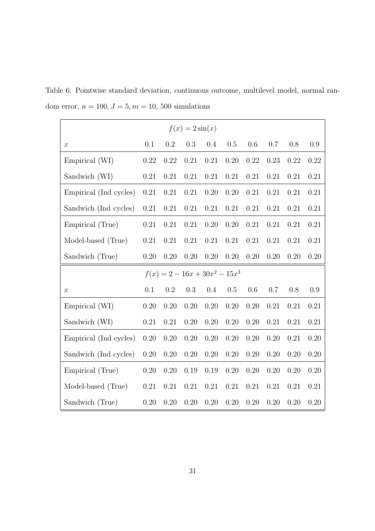Table 6: Pointwise standard deviation, continuous outcome, multilevel model, normal random error,  $n = 100, J = 5, m = 10, 500$  simulations

| $f(x) = 2\sin(x)$      |          |          |         |                                      |      |      |          |      |         |
|------------------------|----------|----------|---------|--------------------------------------|------|------|----------|------|---------|
| $\boldsymbol{x}$       | 0.1      | 0.2      | 0.3     | 0.4                                  | 0.5  | 0.6  | 0.7      | 0.8  | $0.9\,$ |
| Empirical (WI)         | 0.22     | 0.22     | 0.21    | 0.21                                 | 0.20 | 0.22 | 0.23     | 0.22 | 0.22    |
| Sandwich (WI)          | 0.21     | 0.21     | 0.21    | 0.21                                 | 0.21 | 0.21 | 0.21     | 0.21 | 0.21    |
| Empirical (Ind cycles) | 0.21     | 0.21     | 0.21    | 0.20                                 | 0.20 | 0.21 | 0.21     | 0.21 | 0.21    |
| Sandwich (Ind cycles)  | 0.21     | 0.21     | 0.21    | 0.21                                 | 0.21 | 0.21 | 0.21     | 0.21 | 0.21    |
| Empirical (True)       | 0.21     | 0.21     | 0.21    | 0.20                                 | 0.20 | 0.21 | 0.21     | 0.21 | 0.21    |
| Model-based (True)     | 0.21     | 0.21     | 0.21    | 0.21                                 | 0.21 | 0.21 | 0.21     | 0.21 | 0.21    |
| Sandwich (True)        | 0.20     | 0.20     | 0.20    | 0.20                                 | 0.20 | 0.20 | 0.20     | 0.20 | 0.20    |
|                        |          |          |         | $f(x) = 2 - 16x + 30x^{2} - 15x^{3}$ |      |      |          |      |         |
| $\boldsymbol{x}$       | 0.1      | $0.2\,$  | $0.3\,$ | 0.4                                  | 0.5  | 0.6  | 0.7      | 0.8  | 0.9     |
| Empirical (WI)         | 0.20     | 0.20     | 0.20    | 0.20                                 | 0.20 | 0.20 | 0.21     | 0.21 | 0.21    |
| Sandwich (WI)          | $0.21\,$ | 0.21     | 0.20    | 0.20                                 | 0.20 | 0.20 | 0.21     | 0.21 | 0.21    |
| Empirical (Ind cycles) | 0.20     | 0.20     | 0.20    | 0.20                                 | 0.20 | 0.20 | 0.20     | 0.21 | 0.20    |
| Sandwich (Ind cycles)  | 0.20     | 0.20     | 0.20    | 0.20                                 | 0.20 | 0.20 | $0.20\,$ | 0.20 | 0.20    |
| Empirical (True)       | 0.20     | 0.20     | 0.19    | 0.19                                 | 0.20 | 0.20 | 0.20     | 0.20 | 0.20    |
| Model-based (True)     | $0.21\,$ | $0.21\,$ | 0.21    | 0.21                                 | 0.21 | 0.21 | 0.21     | 0.21 | 0.21    |
| Sandwich (True)        | 0.20     | 0.20     | 0.20    | 0.20                                 | 0.20 | 0.20 | 0.20     | 0.20 | 0.20    |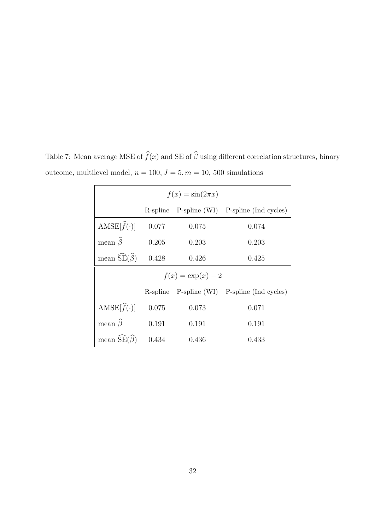| $f(x) = \sin(2\pi x)$                         |       |       |                                              |  |  |  |  |  |  |
|-----------------------------------------------|-------|-------|----------------------------------------------|--|--|--|--|--|--|
|                                               |       |       | R-spline P-spline (WI) P-spline (Ind cycles) |  |  |  |  |  |  |
| AMSE $[\hat{f}(\cdot)]$                       | 0.077 | 0.075 | 0.074                                        |  |  |  |  |  |  |
| mean $\widehat{\beta}$                        | 0.205 | 0.203 | 0.203                                        |  |  |  |  |  |  |
| mean $\widetilde{\text{SE}}(\widehat{\beta})$ | 0.428 | 0.426 | 0.425                                        |  |  |  |  |  |  |
| $f(x) = \exp(x) - 2$                          |       |       |                                              |  |  |  |  |  |  |
|                                               |       |       | R-spline P-spline (WI) P-spline (Ind cycles) |  |  |  |  |  |  |
| AMSE $[\widehat{f}(\cdot)]$                   | 0.075 | 0.073 | 0.071                                        |  |  |  |  |  |  |
| mean $\widehat{\beta}$                        | 0.191 | 0.191 | 0.191                                        |  |  |  |  |  |  |
| mean $SE(\beta)$                              | 0.434 | 0.436 | 0.433                                        |  |  |  |  |  |  |

Table 7: Mean average MSE of  $\widehat{f}(x)$  and SE of  $\widehat{\beta}$  using different correlation structures, binary outcome, multilevel model,  $n = 100, J = 5, m = 10, 500$  simulations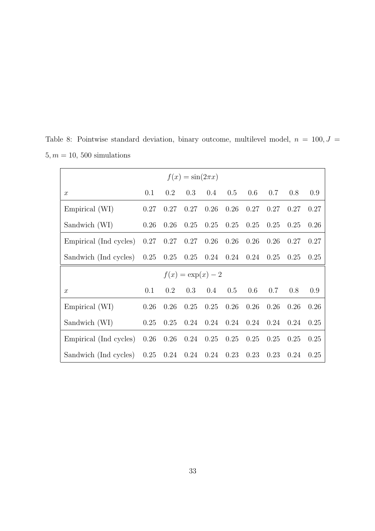| $f(x) = \sin(2\pi x)$                                    |      |             |                      |                      |      |               |      |      |      |
|----------------------------------------------------------|------|-------------|----------------------|----------------------|------|---------------|------|------|------|
| $\mathcal{X}$                                            | 0.1  | 0.2         | 0.3                  | $0.4\,$              |      | $0.5$ 0.6 0.7 |      | 0.8  | 0.9  |
| Empirical (WI)                                           | 0.27 | 0.27        |                      | $0.27$ 0.26          | 0.26 | 0.27          | 0.27 | 0.27 | 0.27 |
| Sandwich (WI)                                            | 0.26 | 0.26        | 0.25                 | 0.25                 | 0.25 | 0.25          | 0.25 | 0.25 | 0.26 |
| Empirical (Ind cycles)                                   |      | $0.27$ 0.27 | $0.27$ 0.26          |                      | 0.26 | 0.26          | 0.26 | 0.27 | 0.27 |
| Sandwich (Ind cycles) 0.25 0.25 0.25 0.24 0.24 0.24 0.25 |      |             |                      |                      |      |               |      | 0.25 | 0.25 |
|                                                          |      |             | $f(x) = \exp(x) - 2$ |                      |      |               |      |      |      |
| $\boldsymbol{x}$                                         | 0.1  | 0.2         | 0.3                  | 0.4                  |      | $0.5$ 0.6 0.7 |      | 0.8  | 0.9  |
| Empirical (WI)                                           | 0.26 | 0.26        | 0.25                 | 0.25                 | 0.26 | 0.26          | 0.26 | 0.26 | 0.26 |
| Sandwich (WI)                                            | 0.25 | 0.25        |                      | $0.24$ $0.24$ $0.24$ |      | 0.24          | 0.24 | 0.24 | 0.25 |
| Empirical (Ind cycles)                                   | 0.26 | 0.26        | $0.24$ 0.25          |                      | 0.25 | 0.25          | 0.25 | 0.25 | 0.25 |
| Sandwich (Ind cycles)                                    | 0.25 | 0.24        | $0.24$ 0.24          |                      | 0.23 | 0.23          | 0.23 | 0.24 | 0.25 |

Table 8: Pointwise standard deviation, binary outcome, multilevel model,  $n = 100, J =$  $5, m = 10, 500$  simulations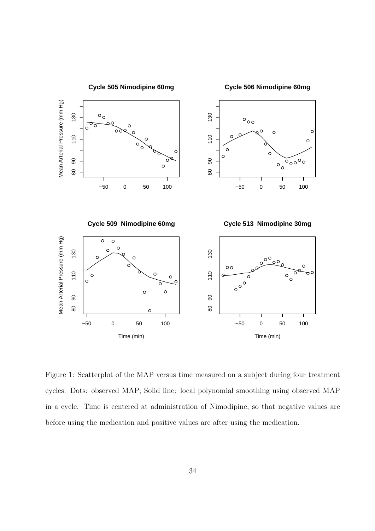

Figure 1: Scatterplot of the MAP versus time measured on a subject during four treatment cycles. Dots: observed MAP; Solid line: local polynomial smoothing using observed MAP in a cycle. Time is centered at administration of Nimodipine, so that negative values are before using the medication and positive values are after using the medication.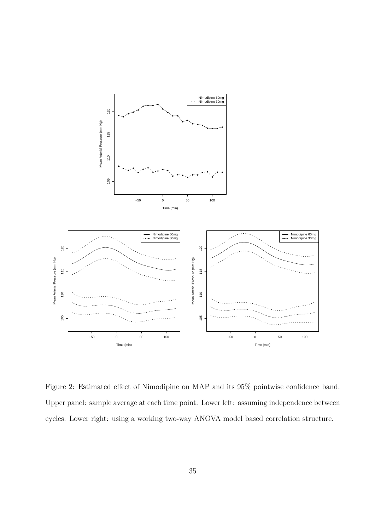

Figure 2: Estimated effect of Nimodipine on MAP and its 95% pointwise confidence band. Upper panel: sample average at each time point. Lower left: assuming independence between cycles. Lower right: using a working two-way ANOVA model based correlation structure.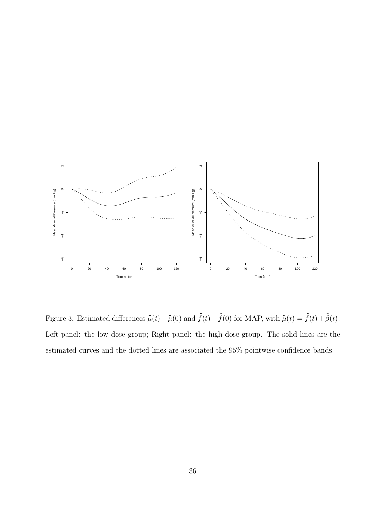

Figure 3: Estimated differences  $\widehat{\mu}(t) - \widehat{\mu}(0)$  and  $\widehat{f}(t) - \widehat{f}(0)$  for MAP, with  $\widehat{\mu}(t) = \widehat{f}(t) + \widehat{\beta}(t)$ . Left panel: the low dose group; Right panel: the high dose group. The solid lines are the estimated curves and the dotted lines are associated the 95% pointwise confidence bands.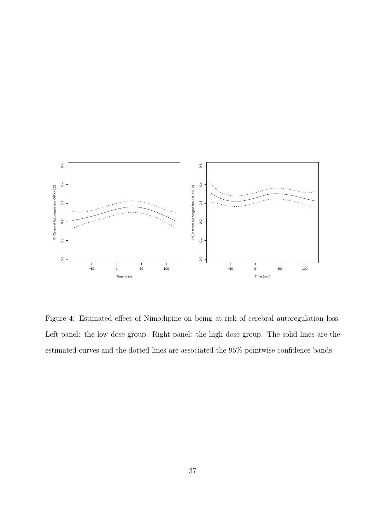

Figure 4: Estimated effect of Nimodipine on being at risk of cerebral autoregulation loss. Left panel: the low dose group. Right panel: the high dose group. The solid lines are the estimated curves and the dotted lines are associated the 95% pointwise confidence bands.